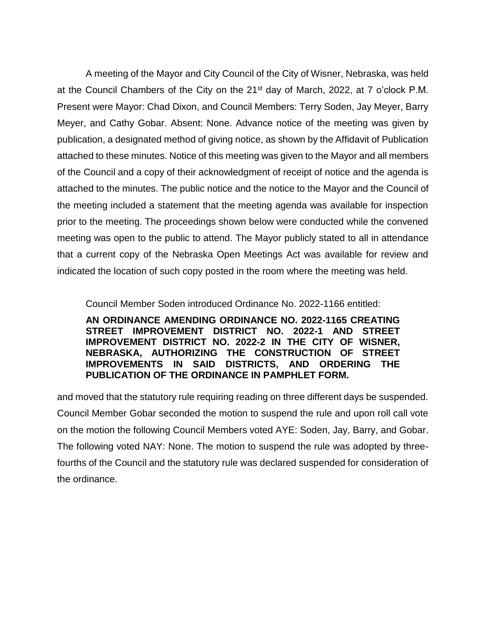A meeting of the Mayor and City Council of the City of Wisner, Nebraska, was held at the Council Chambers of the City on the 21st day of March, 2022, at 7 o'clock P.M. Present were Mayor: Chad Dixon, and Council Members: Terry Soden, Jay Meyer, Barry Meyer, and Cathy Gobar. Absent: None. Advance notice of the meeting was given by publication, a designated method of giving notice, as shown by the Affidavit of Publication attached to these minutes. Notice of this meeting was given to the Mayor and all members of the Council and a copy of their acknowledgment of receipt of notice and the agenda is attached to the minutes. The public notice and the notice to the Mayor and the Council of the meeting included a statement that the meeting agenda was available for inspection prior to the meeting. The proceedings shown below were conducted while the convened meeting was open to the public to attend. The Mayor publicly stated to all in attendance that a current copy of the Nebraska Open Meetings Act was available for review and indicated the location of such copy posted in the room where the meeting was held.

Council Member Soden introduced Ordinance No. 2022-1166 entitled:

**AN ORDINANCE AMENDING ORDINANCE NO. 2022-1165 CREATING STREET IMPROVEMENT DISTRICT NO. 2022-1 AND STREET IMPROVEMENT DISTRICT NO. 2022-2 IN THE CITY OF WISNER, NEBRASKA, AUTHORIZING THE CONSTRUCTION OF STREET IMPROVEMENTS IN SAID DISTRICTS, AND ORDERING THE PUBLICATION OF THE ORDINANCE IN PAMPHLET FORM.** 

and moved that the statutory rule requiring reading on three different days be suspended. Council Member Gobar seconded the motion to suspend the rule and upon roll call vote on the motion the following Council Members voted AYE: Soden, Jay, Barry, and Gobar. The following voted NAY: None. The motion to suspend the rule was adopted by threefourths of the Council and the statutory rule was declared suspended for consideration of the ordinance.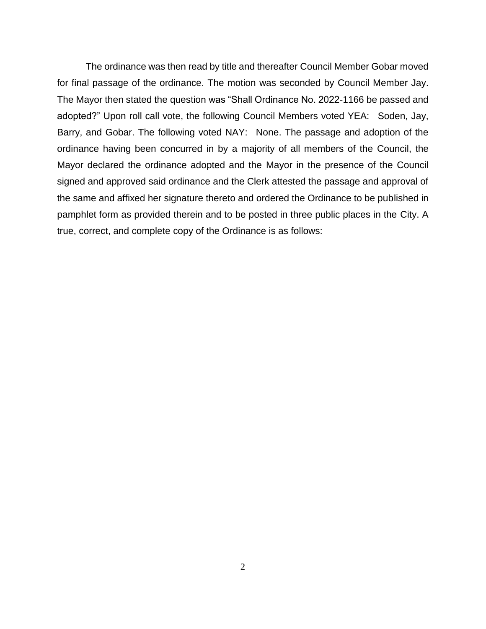The ordinance was then read by title and thereafter Council Member Gobar moved for final passage of the ordinance. The motion was seconded by Council Member Jay. The Mayor then stated the question was "Shall Ordinance No. 2022-1166 be passed and adopted?" Upon roll call vote, the following Council Members voted YEA: Soden, Jay, Barry, and Gobar. The following voted NAY: None. The passage and adoption of the ordinance having been concurred in by a majority of all members of the Council, the Mayor declared the ordinance adopted and the Mayor in the presence of the Council signed and approved said ordinance and the Clerk attested the passage and approval of the same and affixed her signature thereto and ordered the Ordinance to be published in pamphlet form as provided therein and to be posted in three public places in the City. A true, correct, and complete copy of the Ordinance is as follows: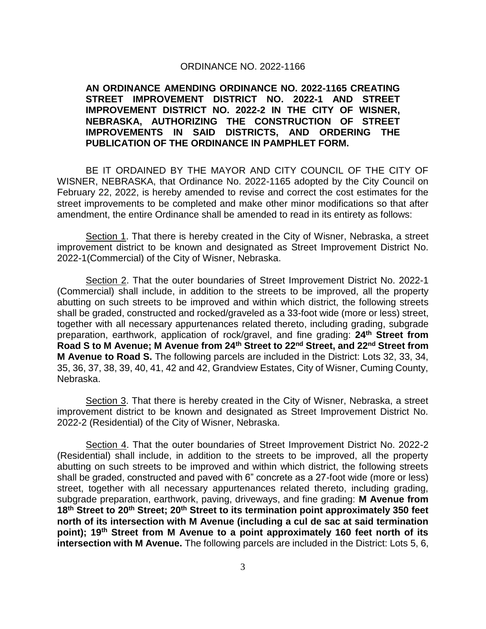## ORDINANCE NO. 2022-1166

## **AN ORDINANCE AMENDING ORDINANCE NO. 2022-1165 CREATING STREET IMPROVEMENT DISTRICT NO. 2022-1 AND STREET IMPROVEMENT DISTRICT NO. 2022-2 IN THE CITY OF WISNER, NEBRASKA, AUTHORIZING THE CONSTRUCTION OF STREET IMPROVEMENTS IN SAID DISTRICTS, AND ORDERING THE PUBLICATION OF THE ORDINANCE IN PAMPHLET FORM.**

BE IT ORDAINED BY THE MAYOR AND CITY COUNCIL OF THE CITY OF WISNER, NEBRASKA, that Ordinance No. 2022-1165 adopted by the City Council on February 22, 2022, is hereby amended to revise and correct the cost estimates for the street improvements to be completed and make other minor modifications so that after amendment, the entire Ordinance shall be amended to read in its entirety as follows:

Section 1. That there is hereby created in the City of Wisner, Nebraska, a street improvement district to be known and designated as Street Improvement District No. 2022-1(Commercial) of the City of Wisner, Nebraska.

Section 2. That the outer boundaries of Street Improvement District No. 2022-1 (Commercial) shall include, in addition to the streets to be improved, all the property abutting on such streets to be improved and within which district, the following streets shall be graded, constructed and rocked/graveled as a 33-foot wide (more or less) street, together with all necessary appurtenances related thereto, including grading, subgrade preparation, earthwork, application of rock/gravel, and fine grading: **24th Street from Road S to M Avenue; M Avenue from 24th Street to 22nd Street, and 22nd Street from M Avenue to Road S.** The following parcels are included in the District: Lots 32, 33, 34, 35, 36, 37, 38, 39, 40, 41, 42 and 42, Grandview Estates, City of Wisner, Cuming County, Nebraska.

Section 3. That there is hereby created in the City of Wisner, Nebraska, a street improvement district to be known and designated as Street Improvement District No. 2022-2 (Residential) of the City of Wisner, Nebraska.

Section 4. That the outer boundaries of Street Improvement District No. 2022-2 (Residential) shall include, in addition to the streets to be improved, all the property abutting on such streets to be improved and within which district, the following streets shall be graded, constructed and paved with 6" concrete as a 27-foot wide (more or less) street, together with all necessary appurtenances related thereto, including grading, subgrade preparation, earthwork, paving, driveways, and fine grading: **M Avenue from 18th Street to 20th Street; 20th Street to its termination point approximately 350 feet north of its intersection with M Avenue (including a cul de sac at said termination point); 19th Street from M Avenue to a point approximately 160 feet north of its intersection with M Avenue.** The following parcels are included in the District: Lots 5, 6,